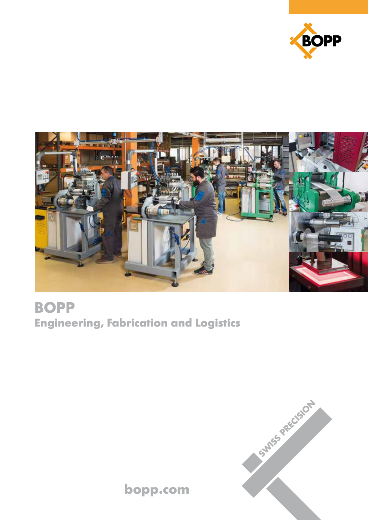



**BOPP Engineering, Fabrication and Logistics**



**bopp.com**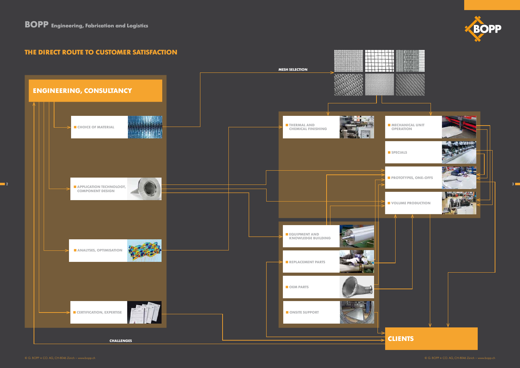**NECHANICAL UNIT OPERATION**





# **CLIENTS**



# **N** VOLUME PRODUCTION

**n** PROTOTYPES, ONE-OFFS



# **THE DIRECT ROUTE TO CUSTOMER SATISFACTION**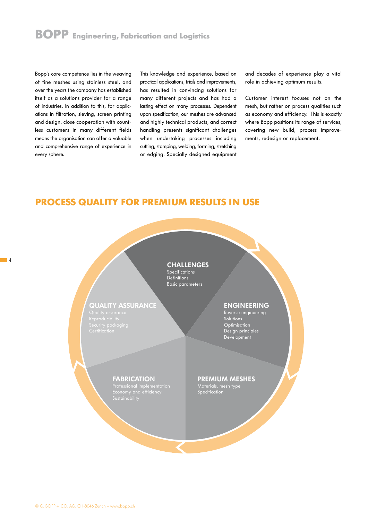Bopp's core competence lies in the weaving of fine meshes using stainless steel, and over the years the company has established itself as a solutions provider for a range of industries. In addition to this, for applications in filtration, sieving, screen printing and design, close cooperation with countless customers in many different fields means the organisation can offer a valuable and comprehensive range of experience in every sphere.

4

This knowledge and experience, based on practical applications, trials and improvements, has resulted in convincing solutions for many different projects and has had a lasting effect on many processes. Dependent upon specification, our meshes are advanced and highly technical products, and correct handling presents significant challenges when undertaking processes including cutting, stamping, welding, forming, stretching or edging. Specially designed equipment

and decades of experience play a vital role in achieving optimum results.

Customer interest focuses not on the mesh, but rather on process qualities such as economy and efficiency. This is exactly where Bopp positions its range of services, covering new build, process improvements, redesign or replacement.

# **PROCESS QUALITY FOR PREMIUM RESULTS IN USE**

### **CHALLENGES**

Specifications Definitions Basic parameters

### **QUALITY ASSURANCE**

### **ENGINEERING**

Reverse engineering Solutions Optimisation Design principles Development

### **FABRICATION**

Professional implementation Economy and efficiency Sustainability

### **PREMIUM MESHES**

Materials, mesh type Specification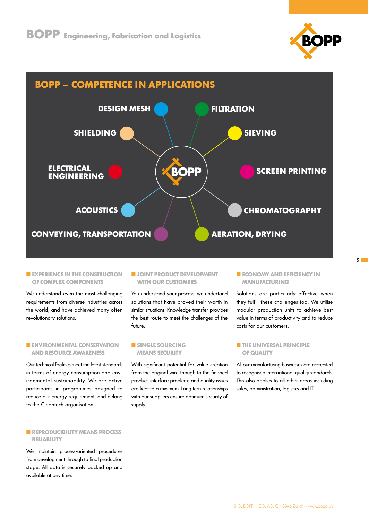



### **N EXPERIENCE IN THE CONSTRUCTION OF COMPLEX COMPONENTS**

We understand even the most challenging requirements from diverse industries across the world, and have achieved many often revolutionary solutions.

### **ENVIRONMENTAL CONSERVATION AND RESOURCE AWARENESS**

Our technical facilities meet the latest standards in terms of energy consumption and environmental sustainability. We are active participants in programmes designed to reduce our energy requirement, and belong to the Cleantech organisation.

### **N** JOINT PRODUCT DEVELOPMENT **WITH OUR CUSTOMERS**

You understand your process, we undertand solutions that have proved their worth in similar situations. Knowledge transfer provides the best route to meet the challenges of the future.

### **N** SINGLE SOURCING **MEANS SECURITY**

With significant potential for value creation from the original wire though to the finished product, interface problems and quality issues are kept to a minimum. Long tern relationships with our suppliers ensure optimum security of supply.

### **ECONOMY AND EFFICIENCY IN MANUFACTURING**

Solutions are particularly effective when they fulfill these challenges too. We utilise modular production units to achieve best value in terms of productivity and to reduce costs for our customers.

### **N THE UNIVERSAL PRINCIPLE OF QUALITY**

All our manufacturing businesses are accredited to recognised international quality standards. This also applies to all other areas including sales, administration, logistics and IT.

### **N REPRODUCIBILITY MEANS PROCESS RELIABILITY**

We maintain process-oriented procedures from development through to final production stage. All data is securely backed up and available at any time.

5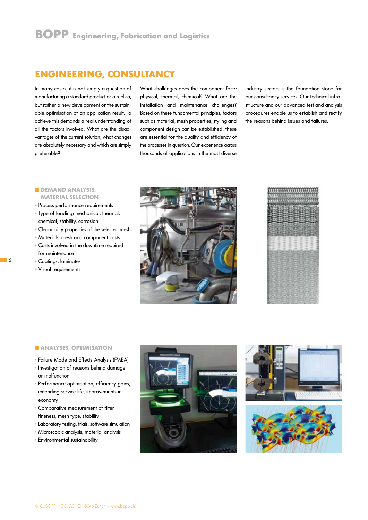# **ENGINEERING, CONSULTANCY**

In many cases, it is not simply a question of manufacturing a standard product or a replica, but rather a new development or the sustainable optimisation of an application result. To achieve this demands a real understanding of all the factors involved. What are the disadvantages of the current solution, what changes are absolutely necessary and which are simply preferable?

What challenges does the component face; physical, thermal, chemical? What are the installation and maintenance challenges? Based on these fundamental principles, factors such as material, mesh properties, styling and component design can be established; these are essential for the quality and efficiency of the processes in question. Our experience across thousands of applications in the most diverse

industry sectors is the foundation stone for our consultancy services. Our technical infrastructure and our advanced test and analysis procedures enable us to establish and rectify the reasons behind issues and failures.

### **n** DEMAND ANALYSIS. **MATERIAL SELECTION**

- Process performance requirements
- Type of loading; mechanical, thermal, chemical; stability, corrosion
- Cleanability properties of the selected mesh
- Materials, mesh and component costs
- Costs involved in the downtime required for maintenance
- Coatings, laminates
- Visual requirements





### **n** ANALYSES, OPTIMISATION

- Failure Mode and Effects Analysis (FMEA)
- Investigation of reasons behind damage or malfunction
- Performance optimisation, efficiency gains, extending service life, improvements in economy
- Comparative measurement of filter fineness, mesh type, stability
- Laboratory testing, trials, software simulation
- Microscopic analysis, material analysis
- Environmental sustainability





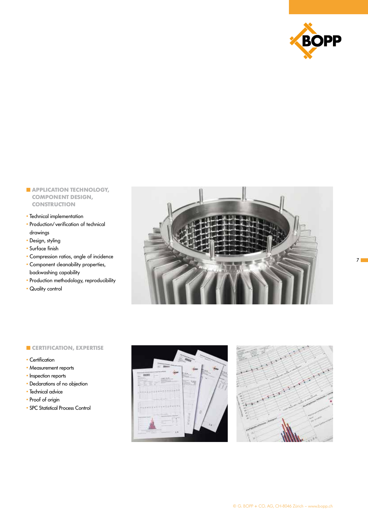

 $7 \Box$ 

- **n** APPLICATION TECHNOLOGY, **COMPONENT DESIGN, CONSTRUCTION**
- Technical implementation
- Production/verification of technical drawings
- Design, styling
- Surface finish
- Compression ratios, angle of incidence
- Component cleanability properties, backwashing capability
- Production methodology, reproducibility
- Quality control



### **n** CERTIFICATION, EXPERTISE

- Certification
- Measurement reports
- Inspection reports
- Declarations of no objection
- Technical advice
- Proof of origin
- SPC Statistical Process Control



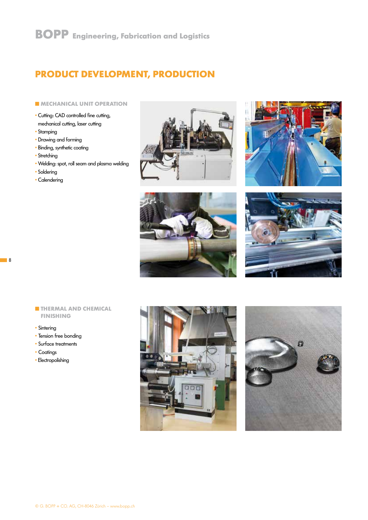# **PRODUCT DEVELOPMENT, PRODUCTION**

### **NECHANICAL UNIT OPERATION**

- Cutting: CAD controlled fine cutting, mechanical cutting, laser cutting
- Stamping
- Drawing and forming
- Binding, synthetic coating
- Stretching
- Welding: spot, roll seam and plasma welding
- Soldering
- Calendering









### **n** THERMAL AND CHEMICAL **FINISHING**

- Sintering
- Tension free bonding
- Surface treatments
- Coatings
- Electropolishing



 $\overline{\phantom{0}}$  8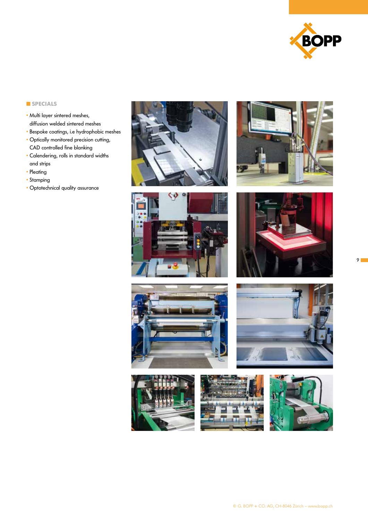

### **n** SPECIALS

- Multi layer sintered meshes, diffusion welded sintered meshes
- Bespoke coatings, i.e hydrophobic meshes
- Optically monitored precision cutting, CAD controlled fine blanking
- Calendering, rolls in standard widths and strips
- Pleating
- Stamping
- Optotechnical quality assurance

















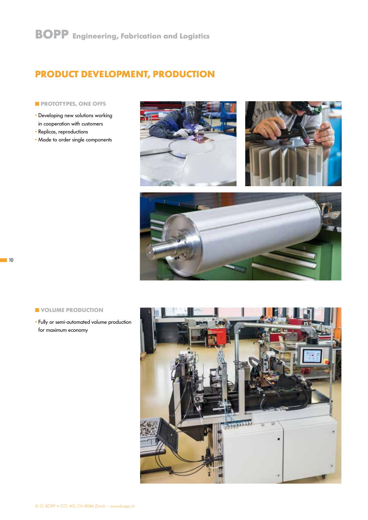# **PRODUCT DEVELOPMENT, PRODUCTION**

### **n** PROTOTYPES, ONE OFFS

- Developing new solutions working in cooperation with customers
- Replicas, reproductions
- Made to order single components







### **N** VOLUME PRODUCTION

• Fully or semi-automated volume production for maximum economy

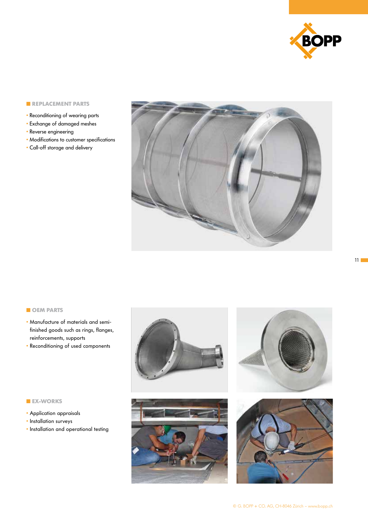

 $11$ 

### **n** REPLACEMENT PARTS

- Reconditioning of wearing parts
- Exchange of damaged meshes
- Reverse engineering
- Modifications to customer specifications
- Call-off storage and delivery



### **n** OEM PARTS

- Manufacture of materials and semifinished goods such as rings, flanges, reinforcements, supports
- Reconditioning of used components

### **n EX-WORKS**

- Application appraisals
- Installation surveys
- Installation and operational testing







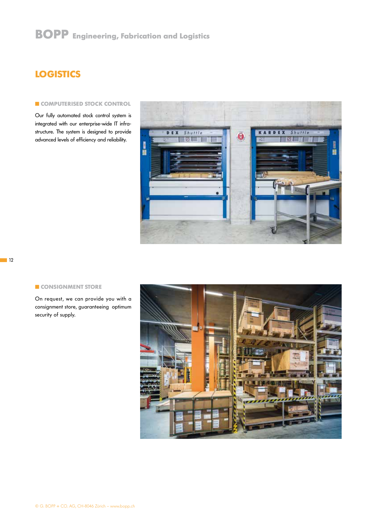# **LOGISTICS**

### **N** COMPUTERISED STOCK CONTROL

Our fully automated stock control system is integrated with our enterprise-wide IT infrastructure. The system is designed to provide advanced levels of efficiency and reliability.



### **n** CONSIGNMENT STORE

On request, we can provide you with a consignment store, guaranteeing optimum security of supply.

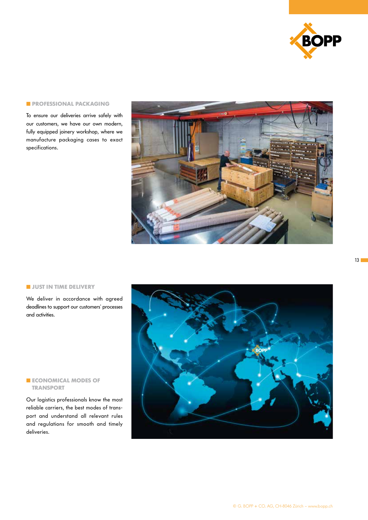

### **N** PROFESSIONAL PACKAGING

To ensure our deliveries arrive safely with our customers, we have our own modern, fully equipped joinery workshop, where we manufacture packaging cases to exact specifications.



### **N** JUST IN TIME DELIVERY

We deliver in accordance with agreed deadlines to support our customers' processes and activities.

### **ECONOMICAL MODES OF TRANSPORT**

Our logistics professionals know the most reliable carriers, the best modes of transport and understand all relevant rules and regulations for smooth and timely deliveries.

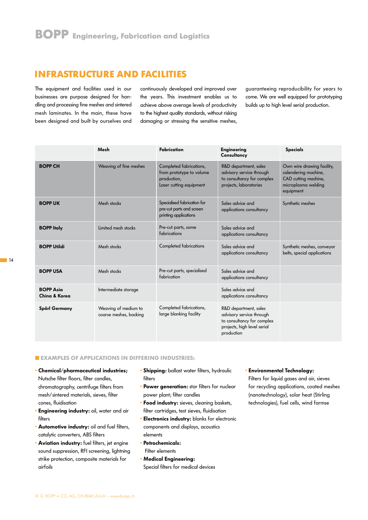# **INFRASTRUCTURE AND FACILITIES**

The equipment and facilities used in our businesses are purpose designed for handling and processing fine meshes and sintered mesh laminates. In the main, these have been designed and built by ourselves and continuously developed and improved over the years. This investment enables us to achieve above average levels of productivity to the highest quality standards, without risking damaging or stressing the sensitive meshes, guaranteeing reproducibility for years to come. We are well equipped for prototyping builds up to high level serial production.

|                                   | Mesh                                           | <b>Fabrication</b>                                                                            | <b>Engineering</b><br>Consultancy                                                                                            | <b>Specials</b>                                                                                                |
|-----------------------------------|------------------------------------------------|-----------------------------------------------------------------------------------------------|------------------------------------------------------------------------------------------------------------------------------|----------------------------------------------------------------------------------------------------------------|
| <b>BOPP CH</b>                    | Weaving of fine meshes                         | Completed fabrications,<br>from prototype to volume<br>production,<br>Laser cutting equipment | R&D department, sales<br>advisory service through<br>to consultancy for complex<br>projects, laboratories                    | Own wire drawing facility,<br>calendering machine,<br>CAD cutting machine,<br>microplasma welding<br>equipment |
| <b>BOPP UK</b>                    | Mesh stocks                                    | Specialised fabrication for<br>pre-cut parts and screen<br>printing applications              | Sales advice and<br>applications consultancy                                                                                 | Synthetic meshes                                                                                               |
| <b>BOPP Italy</b>                 | Limited mesh stocks                            | Pre-cut parts, some<br>fabrications                                                           | Sales advice and<br>applications consultancy                                                                                 |                                                                                                                |
| <b>BOPP Utildi</b>                | Mesh stocks                                    | <b>Completed fabrications</b>                                                                 | Sales advice and<br>applications consultancy                                                                                 | Synthetic meshes, conveyor<br>belts, special applications                                                      |
| <b>BOPP USA</b>                   | Mesh stocks                                    | Pre-cut parts, specialised<br>fabrication                                                     | Sales advice and<br>applications consultancy                                                                                 |                                                                                                                |
| <b>BOPP Asia</b><br>China & Korea | Intermediate storage                           |                                                                                               | Sales advice and<br>applications consultancy                                                                                 |                                                                                                                |
| Spörl Germany                     | Weaving of medium to<br>coarse meshes, backing | Completed fabrications,<br>large blanking facility                                            | R&D department, sales<br>advisory service through<br>to consultancy for complex<br>projects, high level serial<br>production |                                                                                                                |

### **N EXAMPLES OF APPLICATIONS IN DIFFERING INDUSTRIES:**

- **Chemical/pharmaceutical industries;** Nutsche filter floors, filter candles, chromatography, centrifuge filters from mesh/sintered materials, sieves, filter cones, fluidisation
- **Engineering industry:** oil, water and air filters
- **Automotive industry:** oil and fuel filters, catalytic converters, ABS filters
- **Aviation industry:** fuel filters, jet engine sound suppression, RFI screening, lightning strike protection, composite materials for airfoils
- **Shipping:** ballast water filters, hydraulic filters
- **Power generation:** star filters for nuclear power plant; filter candles
- **Food industry:** sieves, cleaning baskets, filter cartridges, test sieves, fluidisation
- **Electronics industry:** blanks for electronic components and displays, acoustics elements
- **Petrochemicals:** Filter elements
- **Medical Engineering:** Special filters for medical devices

### • **Environmental Technology:**

Filters for liquid gases and air, sieves for recycling applications, coated meshes (nanotechnology), solar heat (Stirling technologies), fuel cells, wind farmse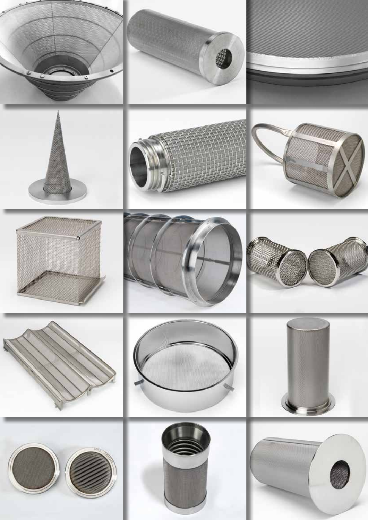